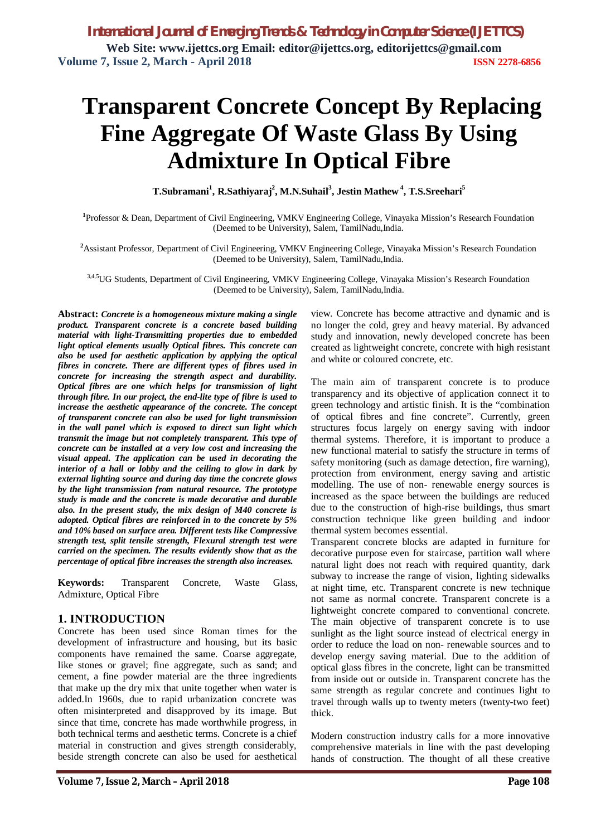# **Transparent Concrete Concept By Replacing Fine Aggregate Of Waste Glass By Using Admixture In Optical Fibre**

**T.Subramani<sup>1</sup> , R.Sathiyaraj<sup>2</sup> , M.N.Suhail<sup>3</sup> , Jestin Mathew <sup>4</sup> , T.S.Sreehari<sup>5</sup>**

**1** Professor & Dean, Department of Civil Engineering, VMKV Engineering College, Vinayaka Mission's Research Foundation (Deemed to be University), Salem, TamilNadu,India.

**<sup>2</sup>**Assistant Professor, Department of Civil Engineering, VMKV Engineering College, Vinayaka Mission's Research Foundation (Deemed to be University), Salem, TamilNadu,India.

3,4,5UG Students, Department of Civil Engineering, VMKV Engineering College, Vinayaka Mission's Research Foundation (Deemed to be University), Salem, TamilNadu,India.

**Abstract:** *Concrete is a homogeneous mixture making a single product. Transparent concrete is a concrete based building material with light-Transmitting properties due to embedded light optical elements usually Optical fibres. This concrete can also be used for aesthetic application by applying the optical fibres in concrete. There are different types of fibres used in concrete for increasing the strength aspect and durability. Optical fibres are one which helps for transmission of light through fibre. In our project, the end-lite type of fibre is used to increase the aesthetic appearance of the concrete. The concept of transparent concrete can also be used for light transmission in the wall panel which is exposed to direct sun light which transmit the image but not completely transparent. This type of concrete can be installed at a very low cost and increasing the visual appeal. The application can be used in decorating the interior of a hall or lobby and the ceiling to glow in dark by external lighting source and during day time the concrete glows by the light transmission from natural resource. The prototype study is made and the concrete is made decorative and durable also. In the present study, the mix design of M40 concrete is adopted. Optical fibres are reinforced in to the concrete by 5% and 10% based on surface area. Different tests like Compressive strength test, split tensile strength, Flexural strength test were carried on the specimen. The results evidently show that as the percentage of optical fibre increases the strength also increases.*

**Keywords:** Transparent Concrete, Waste Glass, Admixture, Optical Fibre

## **1. INTRODUCTION**

Concrete has been used since Roman times for the development of infrastructure and housing, but its basic components have remained the same. Coarse aggregate, like stones or gravel; fine aggregate, such as sand; and cement, a fine powder material are the three ingredients that make up the dry mix that unite together when water is added.In 1960s, due to rapid urbanization concrete was often misinterpreted and disapproved by its image. But since that time, concrete has made worthwhile progress, in both technical terms and aesthetic terms. Concrete is a chief material in construction and gives strength considerably, beside strength concrete can also be used for aesthetical

view. Concrete has become attractive and dynamic and is no longer the cold, grey and heavy material. By advanced study and innovation, newly developed concrete has been created as lightweight concrete, concrete with high resistant and white or coloured concrete, etc.

The main aim of transparent concrete is to produce transparency and its objective of application connect it to green technology and artistic finish. It is the "combination of optical fibres and fine concrete". Currently, green structures focus largely on energy saving with indoor thermal systems. Therefore, it is important to produce a new functional material to satisfy the structure in terms of safety monitoring (such as damage detection, fire warning), protection from environment, energy saving and artistic modelling. The use of non- renewable energy sources is increased as the space between the buildings are reduced due to the construction of high-rise buildings, thus smart construction technique like green building and indoor thermal system becomes essential.

Transparent concrete blocks are adapted in furniture for decorative purpose even for staircase, partition wall where natural light does not reach with required quantity, dark subway to increase the range of vision, lighting sidewalks at night time, etc. Transparent concrete is new technique not same as normal concrete. Transparent concrete is a lightweight concrete compared to conventional concrete. The main objective of transparent concrete is to use sunlight as the light source instead of electrical energy in order to reduce the load on non- renewable sources and to develop energy saving material. Due to the addition of optical glass fibres in the concrete, light can be transmitted from inside out or outside in. Transparent concrete has the same strength as regular concrete and continues light to travel through walls up to twenty meters (twenty-two feet) thick.

Modern construction industry calls for a more innovative comprehensive materials in line with the past developing hands of construction. The thought of all these creative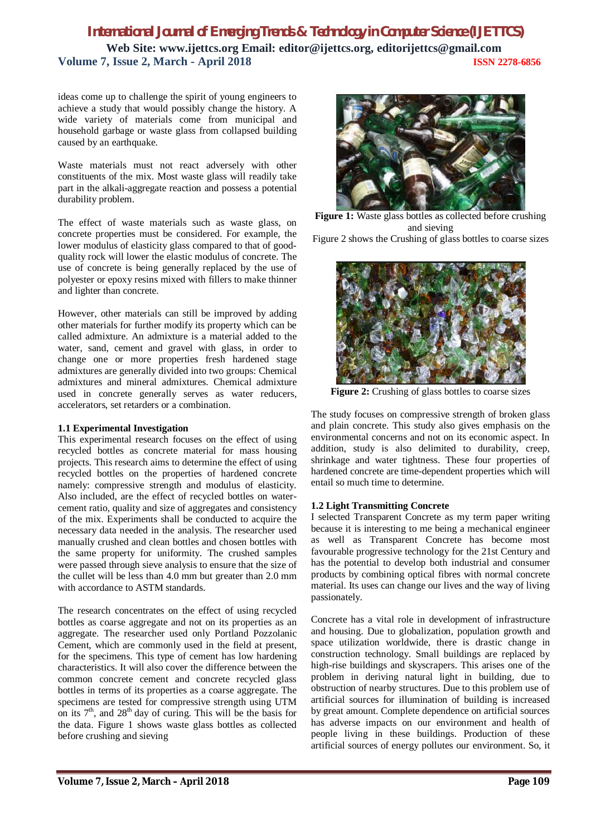ideas come up to challenge the spirit of young engineers to achieve a study that would possibly change the history. A wide variety of materials come from municipal and household garbage or waste glass from collapsed building caused by an earthquake.

Waste materials must not react adversely with other constituents of the mix. Most waste glass will readily take part in the alkali-aggregate reaction and possess a potential durability problem.

The effect of waste materials such as waste glass, on concrete properties must be considered. For example, the lower modulus of elasticity glass compared to that of goodquality rock will lower the elastic modulus of concrete. The use of concrete is being generally replaced by the use of polyester or epoxy resins mixed with fillers to make thinner and lighter than concrete.

However, other materials can still be improved by adding other materials for further modify its property which can be called admixture. An admixture is a material added to the water, sand, cement and gravel with glass, in order to change one or more properties fresh hardened stage admixtures are generally divided into two groups: Chemical admixtures and mineral admixtures. Chemical admixture used in concrete generally serves as water reducers, accelerators, set retarders or a combination.

#### **1.1 Experimental Investigation**

This experimental research focuses on the effect of using recycled bottles as concrete material for mass housing projects. This research aims to determine the effect of using recycled bottles on the properties of hardened concrete namely: compressive strength and modulus of elasticity. Also included, are the effect of recycled bottles on watercement ratio, quality and size of aggregates and consistency of the mix. Experiments shall be conducted to acquire the necessary data needed in the analysis. The researcher used manually crushed and clean bottles and chosen bottles with the same property for uniformity. The crushed samples were passed through sieve analysis to ensure that the size of the cullet will be less than 4.0 mm but greater than 2.0 mm with accordance to ASTM standards.

The research concentrates on the effect of using recycled bottles as coarse aggregate and not on its properties as an aggregate. The researcher used only Portland Pozzolanic Cement, which are commonly used in the field at present, for the specimens. This type of cement has low hardening characteristics. It will also cover the difference between the common concrete cement and concrete recycled glass bottles in terms of its properties as a coarse aggregate. The specimens are tested for compressive strength using UTM on its  $7<sup>th</sup>$ , and  $28<sup>th</sup>$  day of curing. This will be the basis for the data. Figure 1 shows waste glass bottles as collected before crushing and sieving



**Figure 1:** Waste glass bottles as collected before crushing and sieving

Figure 2 shows the Crushing of glass bottles to coarse sizes



Figure 2: Crushing of glass bottles to coarse sizes

The study focuses on compressive strength of broken glass and plain concrete. This study also gives emphasis on the environmental concerns and not on its economic aspect. In addition, study is also delimited to durability, creep, shrinkage and water tightness. These four properties of hardened concrete are time-dependent properties which will entail so much time to determine.

#### **1.2 Light Transmitting Concrete**

I selected Transparent Concrete as my term paper writing because it is interesting to me being a mechanical engineer as well as Transparent Concrete has become most favourable progressive technology for the 21st Century and has the potential to develop both industrial and consumer products by combining optical fibres with normal concrete material. Its uses can change our lives and the way of living passionately.

Concrete has a vital role in development of infrastructure and housing. Due to globalization, population growth and space utilization worldwide, there is drastic change in construction technology. Small buildings are replaced by high-rise buildings and skyscrapers. This arises one of the problem in deriving natural light in building, due to obstruction of nearby structures. Due to this problem use of artificial sources for illumination of building is increased by great amount. Complete dependence on artificial sources has adverse impacts on our environment and health of people living in these buildings. Production of these artificial sources of energy pollutes our environment. So, it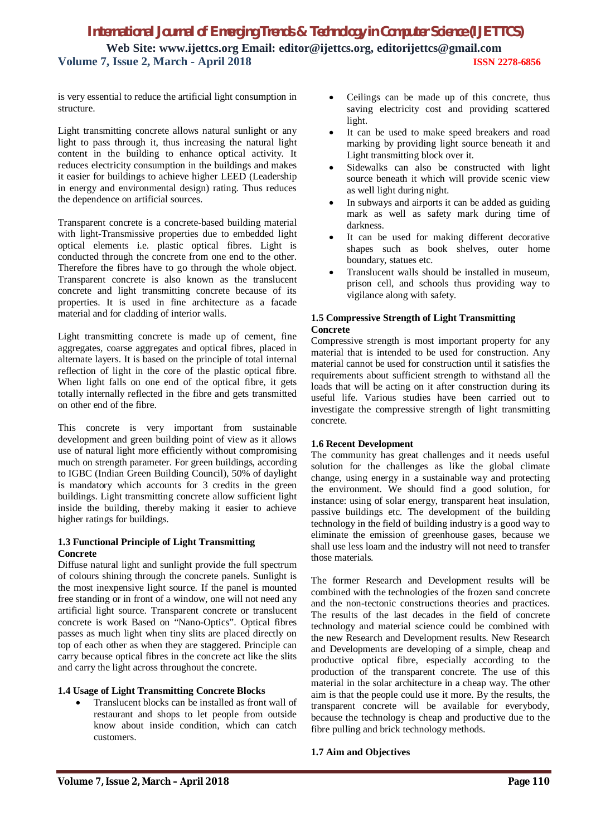is very essential to reduce the artificial light consumption in structure.

Light transmitting concrete allows natural sunlight or any light to pass through it, thus increasing the natural light content in the building to enhance optical activity. It reduces electricity consumption in the buildings and makes it easier for buildings to achieve higher LEED (Leadership in energy and environmental design) rating. Thus reduces the dependence on artificial sources.

Transparent concrete is a concrete-based building material with light-Transmissive properties due to embedded light optical elements i.e. plastic optical fibres. Light is conducted through the concrete from one end to the other. Therefore the fibres have to go through the whole object. Transparent concrete is also known as the translucent concrete and light transmitting concrete because of its properties. It is used in fine architecture as a facade material and for cladding of interior walls.

Light transmitting concrete is made up of cement, fine aggregates, coarse aggregates and optical fibres, placed in alternate layers. It is based on the principle of total internal reflection of light in the core of the plastic optical fibre. When light falls on one end of the optical fibre, it gets totally internally reflected in the fibre and gets transmitted on other end of the fibre.

This concrete is very important from sustainable development and green building point of view as it allows use of natural light more efficiently without compromising much on strength parameter. For green buildings, according to IGBC (Indian Green Building Council), 50% of daylight is mandatory which accounts for 3 credits in the green buildings. Light transmitting concrete allow sufficient light inside the building, thereby making it easier to achieve higher ratings for buildings.

#### **1.3 Functional Principle of Light Transmitting Concrete**

Diffuse natural light and sunlight provide the full spectrum of colours shining through the concrete panels. Sunlight is the most inexpensive light source. If the panel is mounted free standing or in front of a window, one will not need any artificial light source. Transparent concrete or translucent concrete is work Based on "Nano-Optics". Optical fibres passes as much light when tiny slits are placed directly on top of each other as when they are staggered. Principle can carry because optical fibres in the concrete act like the slits and carry the light across throughout the concrete.

#### **1.4 Usage of Light Transmitting Concrete Blocks**

 Translucent blocks can be installed as front wall of restaurant and shops to let people from outside know about inside condition, which can catch customers.

- Ceilings can be made up of this concrete, thus saving electricity cost and providing scattered light.
- It can be used to make speed breakers and road marking by providing light source beneath it and Light transmitting block over it.
- Sidewalks can also be constructed with light source beneath it which will provide scenic view as well light during night.
- In subways and airports it can be added as guiding mark as well as safety mark during time of darkness.
- It can be used for making different decorative shapes such as book shelves, outer home boundary, statues etc.
- Translucent walls should be installed in museum, prison cell, and schools thus providing way to vigilance along with safety.

## **1.5 Compressive Strength of Light Transmitting Concrete**

Compressive strength is most important property for any material that is intended to be used for construction. Any material cannot be used for construction until it satisfies the requirements about sufficient strength to withstand all the loads that will be acting on it after construction during its useful life. Various studies have been carried out to investigate the compressive strength of light transmitting concrete.

## **1.6 Recent Development**

The community has great challenges and it needs useful solution for the challenges as like the global climate change, using energy in a sustainable way and protecting the environment. We should find a good solution, for instance: using of solar energy, transparent heat insulation, passive buildings etc. The development of the building technology in the field of building industry is a good way to eliminate the emission of greenhouse gases, because we shall use less loam and the industry will not need to transfer those materials.

The former Research and Development results will be combined with the technologies of the frozen sand concrete and the non-tectonic constructions theories and practices. The results of the last decades in the field of concrete technology and material science could be combined with the new Research and Development results. New Research and Developments are developing of a simple, cheap and productive optical fibre, especially according to the production of the transparent concrete. The use of this material in the solar architecture in a cheap way. The other aim is that the people could use it more. By the results, the transparent concrete will be available for everybody, because the technology is cheap and productive due to the fibre pulling and brick technology methods.

## **1.7 Aim and Objectives**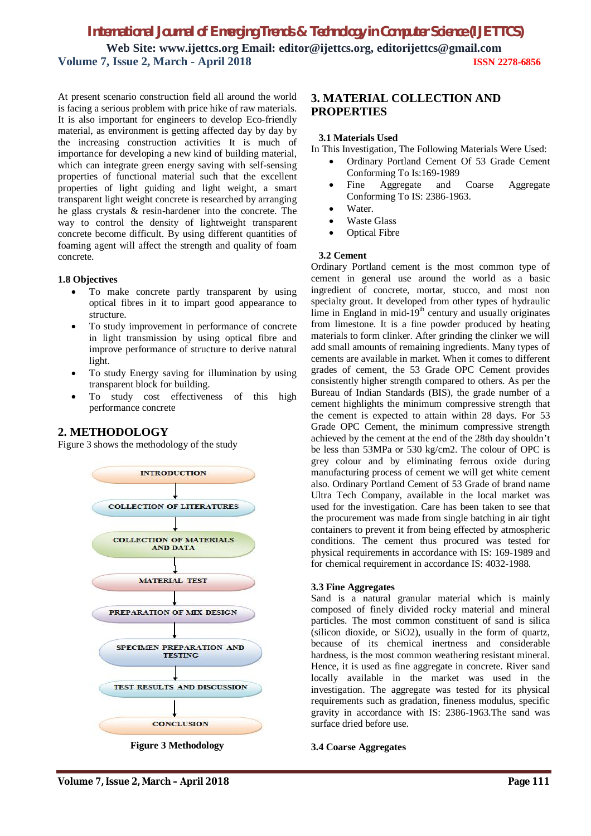At present scenario construction field all around the world is facing a serious problem with price hike of raw materials. It is also important for engineers to develop Eco-friendly material, as environment is getting affected day by day by the increasing construction activities It is much of importance for developing a new kind of building material, which can integrate green energy saving with self-sensing properties of functional material such that the excellent properties of light guiding and light weight, a smart transparent light weight concrete is researched by arranging he glass crystals & resin-hardener into the concrete. The way to control the density of lightweight transparent concrete become difficult. By using different quantities of foaming agent will affect the strength and quality of foam concrete.

#### **1.8 Objectives**

- To make concrete partly transparent by using optical fibres in it to impart good appearance to structure.
- To study improvement in performance of concrete in light transmission by using optical fibre and improve performance of structure to derive natural light.
- To study Energy saving for illumination by using transparent block for building.
- To study cost effectiveness of this high performance concrete

# **2. METHODOLOGY**

Figure 3 shows the methodology of the study



**Figure 3 Methodology**

# **3. MATERIAL COLLECTION AND PROPERTIES**

### **3.1 Materials Used**

In This Investigation, The Following Materials Were Used:

- Ordinary Portland Cement Of 53 Grade Cement Conforming To Is:169-1989
- Fine Aggregate and Coarse Aggregate Conforming To IS: 2386-1963.
- Water.
- Waste Glass
- Optical Fibre

# **3.2 Cement**

Ordinary Portland cement is the most common type of cement in general use around the world as a basic ingredient of concrete, mortar, stucco, and most non specialty grout. It developed from other types of hydraulic lime in England in mid- $19<sup>th</sup>$  century and usually originates from limestone. It is a fine powder produced by heating materials to form clinker. After grinding the clinker we will add small amounts of remaining ingredients. Many types of cements are available in market. When it comes to different grades of cement, the 53 Grade OPC Cement provides consistently higher strength compared to others. As per the Bureau of Indian Standards (BIS), the grade number of a cement highlights the minimum compressive strength that the cement is expected to attain within 28 days. For 53 Grade OPC Cement, the minimum compressive strength achieved by the cement at the end of the 28th day shouldn't be less than 53MPa or 530 kg/cm2. The colour of OPC is grey colour and by eliminating ferrous oxide during manufacturing process of cement we will get white cement also. Ordinary Portland Cement of 53 Grade of brand name Ultra Tech Company, available in the local market was used for the investigation. Care has been taken to see that the procurement was made from single batching in air tight containers to prevent it from being effected by atmospheric conditions. The cement thus procured was tested for physical requirements in accordance with IS: 169-1989 and for chemical requirement in accordance IS: 4032-1988.

#### **3.3 Fine Aggregates**

Sand is a natural granular material which is mainly composed of finely divided rocky material and mineral particles. The most common constituent of sand is silica (silicon dioxide, or SiO2), usually in the form of quartz, because of its chemical inertness and considerable hardness, is the most common weathering resistant mineral. Hence, it is used as fine aggregate in concrete. River sand locally available in the market was used in the investigation. The aggregate was tested for its physical requirements such as gradation, fineness modulus, specific gravity in accordance with IS: 2386-1963.The sand was surface dried before use.

#### **3.4 Coarse Aggregates**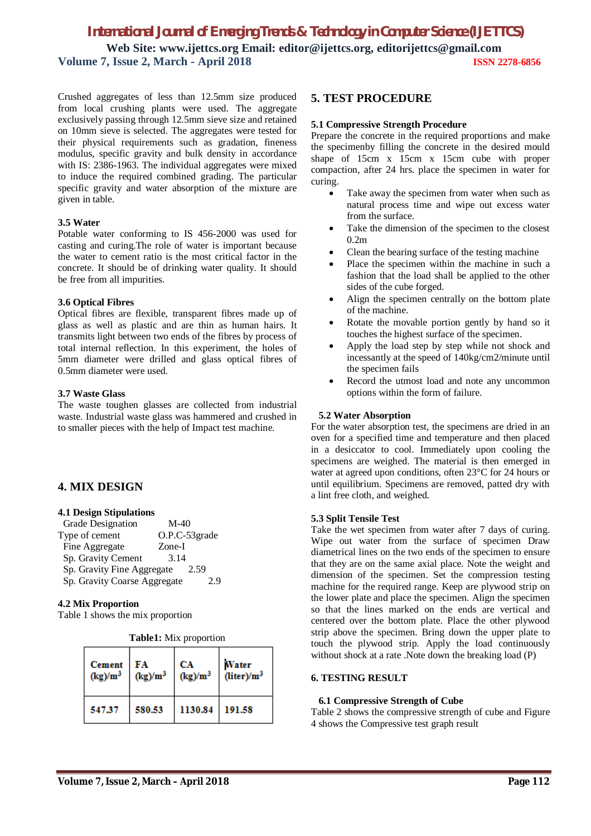Crushed aggregates of less than 12.5mm size produced from local crushing plants were used. The aggregate exclusively passing through 12.5mm sieve size and retained on 10mm sieve is selected. The aggregates were tested for their physical requirements such as gradation, fineness modulus, specific gravity and bulk density in accordance with IS: 2386-1963. The individual aggregates were mixed to induce the required combined grading. The particular specific gravity and water absorption of the mixture are given in table.

#### **3.5 Water**

Potable water conforming to IS 456-2000 was used for casting and curing.The role of water is important because the water to cement ratio is the most critical factor in the concrete. It should be of drinking water quality. It should be free from all impurities.

#### **3.6 Optical Fibres**

Optical fibres are flexible, transparent fibres made up of glass as well as plastic and are thin as human hairs. It transmits light between two ends of the fibres by process of total internal reflection. In this experiment, the holes of 5mm diameter were drilled and glass optical fibres of 0.5mm diameter were used.

#### **3.7 Waste Glass**

The waste toughen glasses are collected from industrial waste. Industrial waste glass was hammered and crushed in to smaller pieces with the help of Impact test machine.

## **4. MIX DESIGN**

#### **4.1 Design Stipulations**

| Grade Designation            | $M-40$        |
|------------------------------|---------------|
| Type of cement               | O.P.C-53grade |
| Fine Aggregate               | Zone-I        |
| Sp. Gravity Cement           | 3.14          |
| Sp. Gravity Fine Aggregate   | 2.59          |
| Sp. Gravity Coarse Aggregate | 2.9           |

#### **4.2 Mix Proportion**

Table 1 shows the mix proportion

**Table1:** Mix proportion

| <b>Cement</b> | ŦА         | CА         | Water                  |
|---------------|------------|------------|------------------------|
| $(kg)/m^3$    | $(kg)/m^3$ | $(kg)/m^3$ | (liter)/m <sup>3</sup> |
| 547.37        | 580.53     | 1130.84    | 191.58                 |

## **5. TEST PROCEDURE**

#### **5.1 Compressive Strength Procedure**

Prepare the concrete in the required proportions and make the specimenby filling the concrete in the desired mould shape of 15cm x 15cm x 15cm cube with proper compaction, after 24 hrs. place the specimen in water for curing.

- Take away the specimen from water when such as natural process time and wipe out excess water from the surface.
- Take the dimension of the specimen to the closest 0.2m
- Clean the bearing surface of the testing machine
- Place the specimen within the machine in such a fashion that the load shall be applied to the other sides of the cube forged.
- Align the specimen centrally on the bottom plate of the machine.
- Rotate the movable portion gently by hand so it touches the highest surface of the specimen.
- Apply the load step by step while not shock and incessantly at the speed of 140kg/cm2/minute until the specimen fails
- Record the utmost load and note any uncommon options within the form of failure.

#### **5.2 Water Absorption**

For the water absorption test, the specimens are dried in an oven for a specified time and temperature and then placed in a desiccator to cool. Immediately upon cooling the specimens are weighed. The material is then emerged in water at agreed upon conditions, often 23°C for 24 hours or until equilibrium. Specimens are removed, patted dry with a lint free cloth, and weighed.

#### **5.3 Split Tensile Test**

Take the wet specimen from water after 7 days of curing. Wipe out water from the surface of specimen Draw diametrical lines on the two ends of the specimen to ensure that they are on the same axial place. Note the weight and dimension of the specimen. Set the compression testing machine for the required range. Keep are plywood strip on the lower plate and place the specimen. Align the specimen so that the lines marked on the ends are vertical and centered over the bottom plate. Place the other plywood strip above the specimen. Bring down the upper plate to touch the plywood strip. Apply the load continuously without shock at a rate .Note down the breaking load (P)

#### **6. TESTING RESULT**

#### **6.1 Compressive Strength of Cube**

Table 2 shows the compressive strength of cube and Figure 4 shows the Compressive test graph result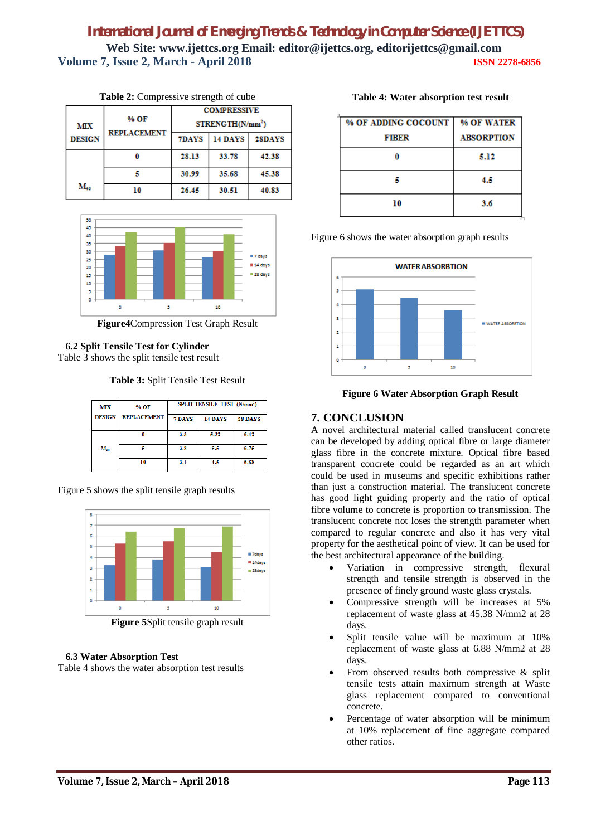|                   | % OF<br><b>REPLACEMENT</b> | <b>COMPRESSIVE</b>           |         |        |
|-------------------|----------------------------|------------------------------|---------|--------|
| MІX               |                            | STRENGTH(N/mm <sup>2</sup> ) |         |        |
| <b>DESIGN</b>     |                            | 7DAYS                        | 14 DAYS | 28DAYS |
|                   |                            | 28.13                        | 33.78   | 42.38  |
|                   |                            | 30.99                        | 35.68   | 45.38  |
| $\mathbf{M}_{40}$ | 10                         | 26.45                        | 30.51   | 40.83  |

**Table 2:** Compressive strength of cube



**Figure4**Compression Test Graph Result

# **6.2 Split Tensile Test for Cylinder**

Table 3 shows the split tensile test result

**Table 3:** Split Tensile Test Result

| <b>MIX</b>    | % OF               | SPLIT TENSILE TEST (N/mm <sup>2</sup> ) |         |         |
|---------------|--------------------|-----------------------------------------|---------|---------|
| <b>DESIGN</b> | <b>REPLACEMENT</b> | 7 DAYS                                  | 14 DAYS | 28 DAYS |
|               |                    | 3.3                                     | 5.32    | 6.42    |
| $M_{40}$      |                    | 3.8                                     | 5.5     | 6.75    |
|               | 10                 | 3.1                                     | 4.5     | 6.88    |

Figure 5 shows the split tensile graph results



**Figure 5**Split tensile graph result

# **6.3 Water Absorption Test**

Table 4 shows the water absorption test results

|  |  | Table 4: Water absorption test result |  |  |
|--|--|---------------------------------------|--|--|
|--|--|---------------------------------------|--|--|

| % OF ADDING COCOUNT | % OF WATER        |
|---------------------|-------------------|
| <b>FIBER</b>        | <b>ABSORPTION</b> |
|                     | 5.12              |
|                     | 4.5               |
| 10                  | 3.6               |

Figure 6 shows the water absorption graph results



**Figure 6 Water Absorption Graph Result**

# **7. CONCLUSION**

A novel architectural material called translucent concrete can be developed by adding optical fibre or large diameter glass fibre in the concrete mixture. Optical fibre based transparent concrete could be regarded as an art which could be used in museums and specific exhibitions rather than just a construction material. The translucent concrete has good light guiding property and the ratio of optical fibre volume to concrete is proportion to transmission. The translucent concrete not loses the strength parameter when compared to regular concrete and also it has very vital property for the aesthetical point of view. It can be used for the best architectural appearance of the building.

- Variation in compressive strength, flexural strength and tensile strength is observed in the presence of finely ground waste glass crystals.
- Compressive strength will be increases at 5% replacement of waste glass at 45.38 N/mm2 at 28 days.
- Split tensile value will be maximum at 10% replacement of waste glass at 6.88 N/mm2 at 28 days.
- From observed results both compressive & split tensile tests attain maximum strength at Waste glass replacement compared to conventional concrete.
- Percentage of water absorption will be minimum at 10% replacement of fine aggregate compared other ratios.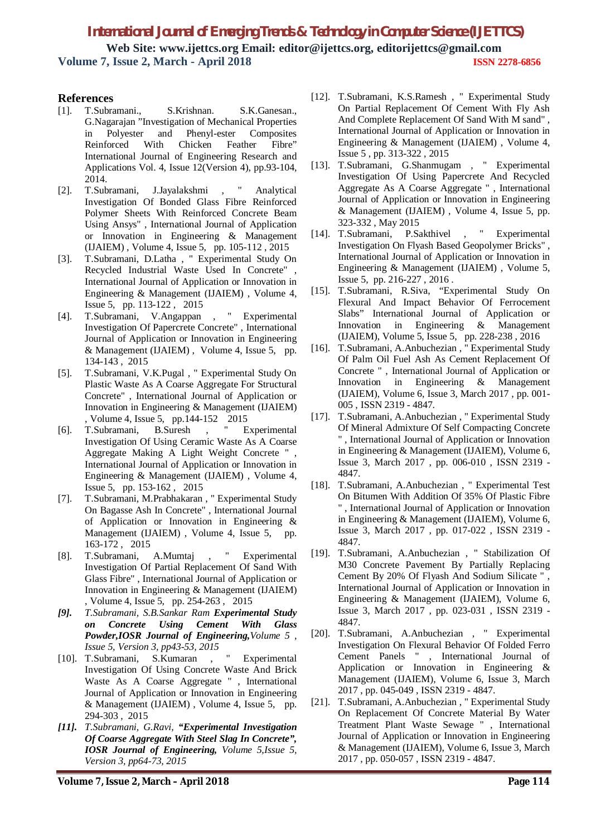# **References**

- [1]. T.Subramani., S.Krishnan. S.K.Ganesan., G.Nagarajan "Investigation of Mechanical Properties in Polyester and Phenyl-ester Composites Reinforced With Chicken Feather Fibre" International Journal of Engineering Research and Applications Vol. 4, Issue 12(Version 4), pp.93-104, 2014.<br>T.Subramani,
- [2]. T.Subramani, J.Jayalakshmi , " Analytical Investigation Of Bonded Glass Fibre Reinforced Polymer Sheets With Reinforced Concrete Beam Using Ansys" , International Journal of Application or Innovation in Engineering & Management (IJAIEM) , Volume 4, Issue 5, pp. 105-112 , 2015
- [3]. T.Subramani, D.Latha , " Experimental Study On Recycled Industrial Waste Used In Concrete" , International Journal of Application or Innovation in Engineering & Management (IJAIEM) , Volume 4, Issue 5, pp. 113-122 , 2015
- [4]. T.Subramani, V.Angappan , " Experimental Investigation Of Papercrete Concrete" , International Journal of Application or Innovation in Engineering & Management (IJAIEM) , Volume 4, Issue 5, pp. 134-143 , 2015
- [5]. T.Subramani, V.K.Pugal , " Experimental Study On Plastic Waste As A Coarse Aggregate For Structural Concrete" , International Journal of Application or Innovation in Engineering & Management (IJAIEM) volume 4, Issue 5, pp. 144-152 2015<br>T. Subramani. B. Suresh . "Experimental
- [6]. T.Subramani, B.Suresh, Investigation Of Using Ceramic Waste As A Coarse Aggregate Making A Light Weight Concrete " , International Journal of Application or Innovation in Engineering & Management (IJAIEM) , Volume 4, Issue 5, pp. 153-162 , 2015
- [7]. T.Subramani, M.Prabhakaran , " Experimental Study On Bagasse Ash In Concrete" , International Journal of Application or Innovation in Engineering & Management (IJAIEM), Volume 4, Issue 5, pp. 163-172 , 2015
- [8]. T.Subramani, A.Mumtaj , " Experimental Investigation Of Partial Replacement Of Sand With Glass Fibre" , International Journal of Application or Innovation in Engineering & Management (IJAIEM) , Volume 4, Issue 5, pp. 254-263 , 2015
- *[9]. T.Subramani, S.B.Sankar Ram Experimental Study on Concrete Using Cement With Glass Powder,IOSR Journal of Engineering,Volume 5 , Issue 5, Version 3, pp43-53, 2015*
- [10]. T.Subramani, S.Kumaran , " Experimental Investigation Of Using Concrete Waste And Brick Waste As A Coarse Aggregate " , International Journal of Application or Innovation in Engineering & Management (IJAIEM) , Volume 4, Issue 5, pp. 294-303 , 2015
- *[11]. T.Subramani, G.Ravi, "Experimental Investigation Of Coarse Aggregate With Steel Slag In Concrete", IOSR Journal of Engineering, Volume 5,Issue 5, Version 3, pp64-73, 2015*
- [12]. T.Subramani, K.S.Ramesh , " Experimental Study On Partial Replacement Of Cement With Fly Ash And Complete Replacement Of Sand With M sand" , International Journal of Application or Innovation in Engineering & Management (IJAIEM) , Volume 4, Issue 5 , pp. 313-322 , 2015
- [13]. T.Subramani, G.Shanmugam , " Experimental Investigation Of Using Papercrete And Recycled Aggregate As A Coarse Aggregate " , International Journal of Application or Innovation in Engineering & Management (IJAIEM) , Volume 4, Issue 5, pp. 323-332 , May 2015
- [14]. T.Subramani, P.Sakthivel , " Experimental Investigation On Flyash Based Geopolymer Bricks" , International Journal of Application or Innovation in Engineering & Management (IJAIEM) , Volume 5, Issue 5, pp. 216-227 , 2016 .
- [15]. T.Subramani, R.Siva, "Experimental Study On Flexural And Impact Behavior Of Ferrocement Slabs" International Journal of Application or Innovation in Engineering & Management (IJAIEM), Volume 5, Issue 5, pp. 228-238 , 2016
- [16]. T.Subramani, A.Anbuchezian, "Experimental Study Of Palm Oil Fuel Ash As Cement Replacement Of Concrete " , International Journal of Application or Innovation in Engineering & Management (IJAIEM), Volume 6, Issue 3, March 2017 , pp. 001- 005 , ISSN 2319 - 4847.
- [17]. T.Subramani, A.Anbuchezian , " Experimental Study Of Mineral Admixture Of Self Compacting Concrete " , International Journal of Application or Innovation in Engineering & Management (IJAIEM), Volume 6, Issue 3, March 2017 , pp. 006-010 , ISSN 2319 - 4847.
- [18]. T.Subramani, A.Anbuchezian , " Experimental Test On Bitumen With Addition Of 35% Of Plastic Fibre " , International Journal of Application or Innovation in Engineering & Management (IJAIEM), Volume 6, Issue 3, March 2017 , pp. 017-022 , ISSN 2319 - 4847.
- [19]. T.Subramani, A.Anbuchezian , " Stabilization Of M30 Concrete Pavement By Partially Replacing Cement By 20% Of Flyash And Sodium Silicate " , International Journal of Application or Innovation in Engineering & Management (IJAIEM), Volume 6, Issue 3, March 2017 , pp. 023-031 , ISSN 2319 - 4847.
- [20]. T.Subramani, A.Anbuchezian , " Experimental Investigation On Flexural Behavior Of Folded Ferro Cement Panels " , International Journal of Application or Innovation in Engineering & Management (IJAIEM), Volume 6, Issue 3, March 2017 , pp. 045-049 , ISSN 2319 - 4847.
- [21]. T.Subramani, A.Anbuchezian , " Experimental Study On Replacement Of Concrete Material By Water Treatment Plant Waste Sewage " , International Journal of Application or Innovation in Engineering & Management (IJAIEM), Volume 6, Issue 3, March 2017 , pp. 050-057 , ISSN 2319 - 4847.